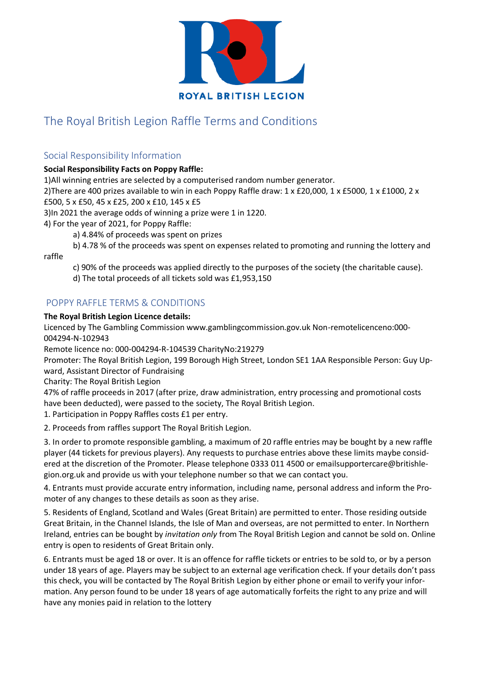

# The Royal British Legion Raffle Terms and Conditions

## Social Responsibility Information

## **Social Responsibility Facts on Poppy Raffle:**

1)All winning entries are selected by a computerised random number generator.

2)There are 400 prizes available to win in each Poppy Raffle draw: 1 x £20,000, 1 x £5000, 1 x £1000, 2 x £500, 5 x £50, 45 x £25, 200 x £10, 145 x £5

3)In 2021 the average odds of winning a prize were 1 in 1220.

4) For the year of 2021, for Poppy Raffle:

a) 4.84% of proceeds was spent on prizes

b) 4.78 % of the proceeds was spent on expenses related to promoting and running the lottery and

raffle

c) 90% of the proceeds was applied directly to the purposes of the society (the charitable cause).

d) The total proceeds of all tickets sold was £1,953,150

## POPPY RAFFLE TERMS & CONDITIONS

#### **The Royal British Legion Licence details:**

Licenced by The Gambling Commission www.gamblingcommission.gov.uk Non-remotelicenceno:000- 004294-N-102943

Remote licence no: 000-004294-R-104539 CharityNo:219279

Promoter: The Royal British Legion, 199 Borough High Street, London SE1 1AA Responsible Person: Guy Upward, Assistant Director of Fundraising

Charity: The Royal British Legion

47% of raffle proceeds in 2017 (after prize, draw administration, entry processing and promotional costs have been deducted), were passed to the society, The Royal British Legion.

1. Participation in Poppy Raffles costs £1 per entry.

2. Proceeds from raffles support The Royal British Legion.

3. In order to promote responsible gambling, a maximum of 20 raffle entries may be bought by a new raffle player (44 tickets for previous players). Any requests to purchase entries above these limits maybe considered at the discretion of the Promoter. Please telephone 0333 011 4500 or emailsupportercare@britishlegion.org.uk and provide us with your telephone number so that we can contact you.

4. Entrants must provide accurate entry information, including name, personal address and inform the Promoter of any changes to these details as soon as they arise.

5. Residents of England, Scotland and Wales (Great Britain) are permitted to enter. Those residing outside Great Britain, in the Channel Islands, the Isle of Man and overseas, are not permitted to enter. In Northern Ireland, entries can be bought by *invitation only* from The Royal British Legion and cannot be sold on. Online entry is open to residents of Great Britain only.

6. Entrants must be aged 18 or over. It is an offence for raffle tickets or entries to be sold to, or by a person under 18 years of age. Players may be subject to an external age verification check. If your details don't pass this check, you will be contacted by The Royal British Legion by either phone or email to verify your information. Any person found to be under 18 years of age automatically forfeits the right to any prize and will have any monies paid in relation to the lottery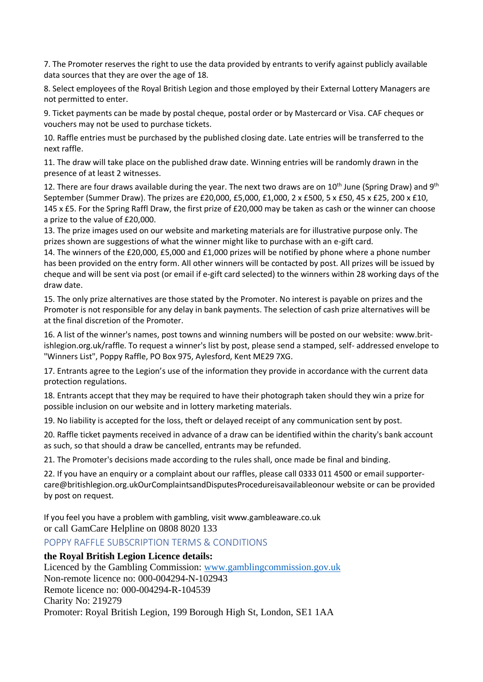7. The Promoter reserves the right to use the data provided by entrants to verify against publicly available data sources that they are over the age of 18.

8. Select employees of the Royal British Legion and those employed by their External Lottery Managers are not permitted to enter.

9. Ticket payments can be made by postal cheque, postal order or by Mastercard or Visa. CAF cheques or vouchers may not be used to purchase tickets.

10. Raffle entries must be purchased by the published closing date. Late entries will be transferred to the next raffle.

11. The draw will take place on the published draw date. Winning entries will be randomly drawn in the presence of at least 2 witnesses.

12. There are four draws available during the year. The next two draws are on 10<sup>th</sup> June (Spring Draw) and 9<sup>th</sup> September (Summer Draw). The prizes are £20,000, £5,000, £1,000, 2 x £500, 5 x £50, 45 x £25, 200 x £10, 145 x £5. For the Spring Raffl Draw, the first prize of £20,000 may be taken as cash or the winner can choose a prize to the value of £20,000.

13. The prize images used on our website and marketing materials are for illustrative purpose only. The prizes shown are suggestions of what the winner might like to purchase with an e-gift card.

14. The winners of the £20,000, £5,000 and £1,000 prizes will be notified by phone where a phone number has been provided on the entry form. All other winners will be contacted by post. All prizes will be issued by cheque and will be sent via post (or email if e-gift card selected) to the winners within 28 working days of the draw date.

15. The only prize alternatives are those stated by the Promoter. No interest is payable on prizes and the Promoter is not responsible for any delay in bank payments. The selection of cash prize alternatives will be at the final discretion of the Promoter.

16. A list of the winner's names, post towns and winning numbers will be posted on our website: www.britishlegion.org.uk/raffle. To request a winner's list by post, please send a stamped, self- addressed envelope to "Winners List", Poppy Raffle, PO Box 975, Aylesford, Kent ME29 7XG.

17. Entrants agree to the Legion's use of the information they provide in accordance with the current data protection regulations.

18. Entrants accept that they may be required to have their photograph taken should they win a prize for possible inclusion on our website and in lottery marketing materials.

19. No liability is accepted for the loss, theft or delayed receipt of any communication sent by post.

20. Raffle ticket payments received in advance of a draw can be identified within the charity's bank account as such, so that should a draw be cancelled, entrants may be refunded.

21. The Promoter's decisions made according to the rules shall, once made be final and binding.

22. If you have an enquiry or a complaint about our raffles, please call 0333 011 4500 or email supportercare@britishlegion.org.ukOurComplaintsandDisputesProcedureisavailableonour website or can be provided by post on request.

If you feel you have a problem with gambling, visit www.gambleaware.co.uk or call GamCare Helpline on 0808 8020 133

### POPPY RAFFLE SUBSCRIPTION TERMS & CONDITIONS

### **the Royal British Legion Licence details:**

Licenced by the Gambling Commission: [www.gamblingcommission.gov.uk](http://www.gamblingcommission.gov.uk/) Non-remote licence no: 000-004294-N-102943 Remote licence no: 000-004294-R-104539 Charity No: 219279 Promoter: Royal British Legion, 199 Borough High St, London, SE1 1AA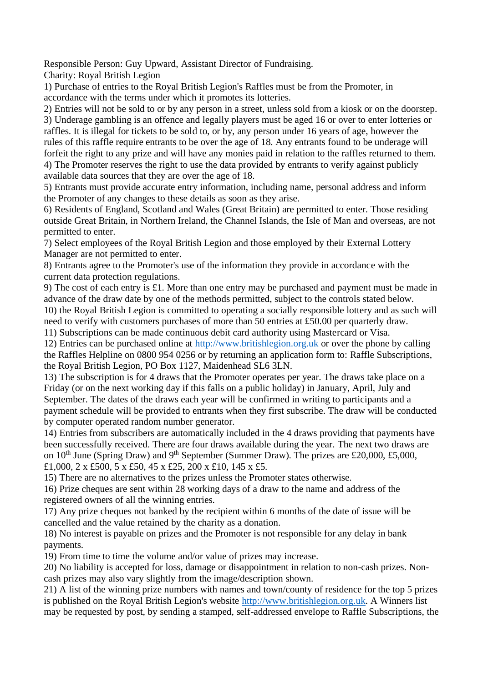Responsible Person: Guy Upward, Assistant Director of Fundraising.

Charity: Royal British Legion

1) Purchase of entries to the Royal British Legion's Raffles must be from the Promoter, in accordance with the terms under which it promotes its lotteries.

2) Entries will not be sold to or by any person in a street, unless sold from a kiosk or on the doorstep. 3) Underage gambling is an offence and legally players must be aged 16 or over to enter lotteries or raffles. It is illegal for tickets to be sold to, or by, any person under 16 years of age, however the rules of this raffle require entrants to be over the age of 18. Any entrants found to be underage will forfeit the right to any prize and will have any monies paid in relation to the raffles returned to them. 4) The Promoter reserves the right to use the data provided by entrants to verify against publicly available data sources that they are over the age of 18.

5) Entrants must provide accurate entry information, including name, personal address and inform the Promoter of any changes to these details as soon as they arise.

6) Residents of England, Scotland and Wales (Great Britain) are permitted to enter. Those residing outside Great Britain, in Northern Ireland, the Channel Islands, the Isle of Man and overseas, are not permitted to enter.

7) Select employees of the Royal British Legion and those employed by their External Lottery Manager are not permitted to enter.

8) Entrants agree to the Promoter's use of the information they provide in accordance with the current data protection regulations.

9) The cost of each entry is £1. More than one entry may be purchased and payment must be made in advance of the draw date by one of the methods permitted, subject to the controls stated below. 10) the Royal British Legion is committed to operating a socially responsible lottery and as such will need to verify with customers purchases of more than 50 entries at £50.00 per quarterly draw.

11) Subscriptions can be made continuous debit card authority using Mastercard or Visa.

12) Entries can be purchased online at [http://www.britishlegion.org.uk](http://www.britishlegion.org.uk/) or over the phone by calling the Raffles Helpline on 0800 954 0256 or by returning an application form to: Raffle Subscriptions, the Royal British Legion, PO Box 1127, Maidenhead SL6 3LN.

13) The subscription is for 4 draws that the Promoter operates per year. The draws take place on a Friday (or on the next working day if this falls on a public holiday) in January, April, July and September. The dates of the draws each year will be confirmed in writing to participants and a payment schedule will be provided to entrants when they first subscribe. The draw will be conducted by computer operated random number generator.

14) Entries from subscribers are automatically included in the 4 draws providing that payments have been successfully received. There are four draws available during the year. The next two draws are on  $10^{th}$  June (Spring Draw) and 9<sup>th</sup> September (Summer Draw). The prizes are £20,000, £5,000, £1,000, 2 x £500, 5 x £50, 45 x £25, 200 x £10, 145 x £5.

15) There are no alternatives to the prizes unless the Promoter states otherwise.

16) Prize cheques are sent within 28 working days of a draw to the name and address of the registered owners of all the winning entries.

17) Any prize cheques not banked by the recipient within 6 months of the date of issue will be cancelled and the value retained by the charity as a donation.

18) No interest is payable on prizes and the Promoter is not responsible for any delay in bank payments.

19) From time to time the volume and/or value of prizes may increase.

20) No liability is accepted for loss, damage or disappointment in relation to non-cash prizes. Noncash prizes may also vary slightly from the image/description shown.

21) A list of the winning prize numbers with names and town/county of residence for the top 5 prizes is published on the Royal British Legion's website [http://www.britishlegion.org.uk.](http://www.britishlegion.org.uk/) A Winners list may be requested by post, by sending a stamped, self-addressed envelope to Raffle Subscriptions, the